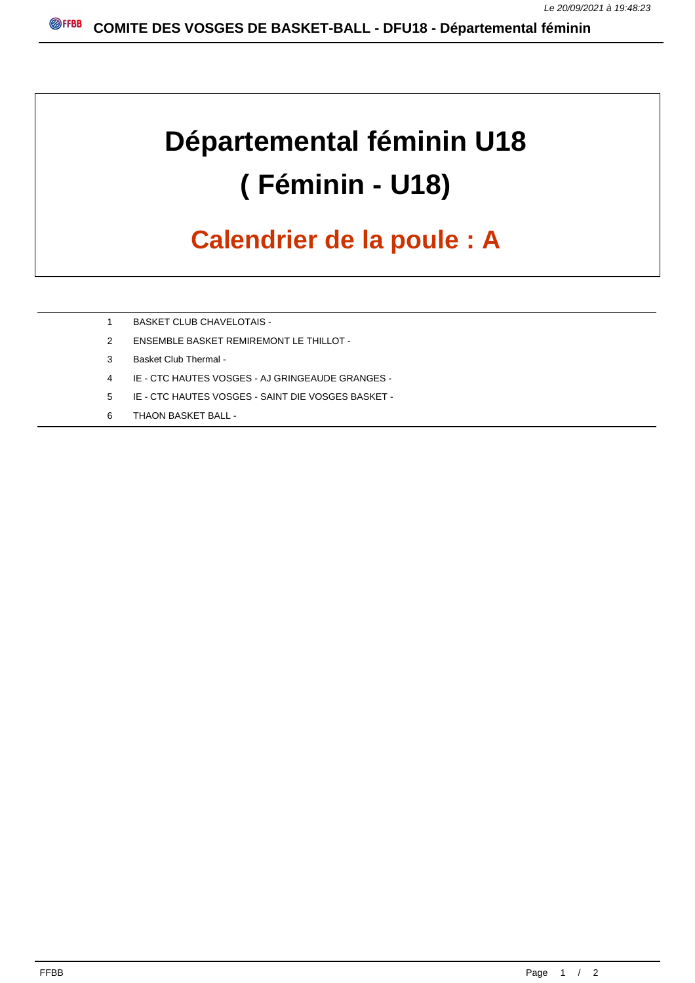## **Départemental féminin U18 ( Féminin - U18)**

## **Calendrier de la poule : A**

- 1 BASKET CLUB CHAVELOTAIS -
- 2 ENSEMBLE BASKET REMIREMONT LE THILLOT -
- 3 Basket Club Thermal -
- 4 IE CTC HAUTES VOSGES AJ GRINGEAUDE GRANGES -
- 5 IE CTC HAUTES VOSGES SAINT DIE VOSGES BASKET -
- 6 THAON BASKET BALL -